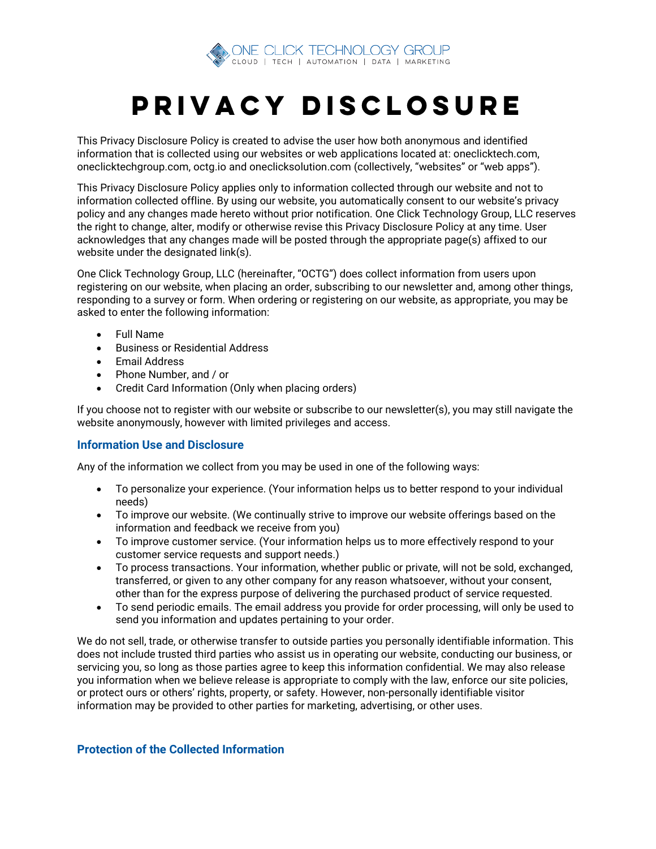

## PRIVACY DISCLOSURE

This Privacy Disclosure Policy is created to advise the user how both anonymous and identified information that is collected using our websites or web applications located at: oneclicktech.com, oneclicktechgroup.com, octg.io and oneclicksolution.com (collectively, "websites" or "web apps").

This Privacy Disclosure Policy applies only to information collected through our website and not to information collected offline. By using our website, you automatically consent to our website's privacy policy and any changes made hereto without prior notification. One Click Technology Group, LLC reserves the right to change, alter, modify or otherwise revise this Privacy Disclosure Policy at any time. User acknowledges that any changes made will be posted through the appropriate page(s) affixed to our website under the designated link(s).

One Click Technology Group, LLC (hereinafter, "OCTG") does collect information from users upon registering on our website, when placing an order, subscribing to our newsletter and, among other things, responding to a survey or form. When ordering or registering on our website, as appropriate, you may be asked to enter the following information:

- Full Name
- Business or Residential Address
- Email Address
- Phone Number, and / or
- Credit Card Information (Only when placing orders)

If you choose not to register with our website or subscribe to our newsletter(s), you may still navigate the website anonymously, however with limited privileges and access.

## **Information Use and Disclosure**

Any of the information we collect from you may be used in one of the following ways:

- To personalize your experience. (Your information helps us to better respond to your individual needs)
- To improve our website. (We continually strive to improve our website offerings based on the information and feedback we receive from you)
- To improve customer service. (Your information helps us to more effectively respond to your customer service requests and support needs.)
- To process transactions. Your information, whether public or private, will not be sold, exchanged, transferred, or given to any other company for any reason whatsoever, without your consent, other than for the express purpose of delivering the purchased product of service requested.
- To send periodic emails. The email address you provide for order processing, will only be used to send you information and updates pertaining to your order.

We do not sell, trade, or otherwise transfer to outside parties you personally identifiable information. This does not include trusted third parties who assist us in operating our website, conducting our business, or servicing you, so long as those parties agree to keep this information confidential. We may also release you information when we believe release is appropriate to comply with the law, enforce our site policies, or protect ours or others' rights, property, or safety. However, non-personally identifiable visitor information may be provided to other parties for marketing, advertising, or other uses.

## **Protection of the Collected Information**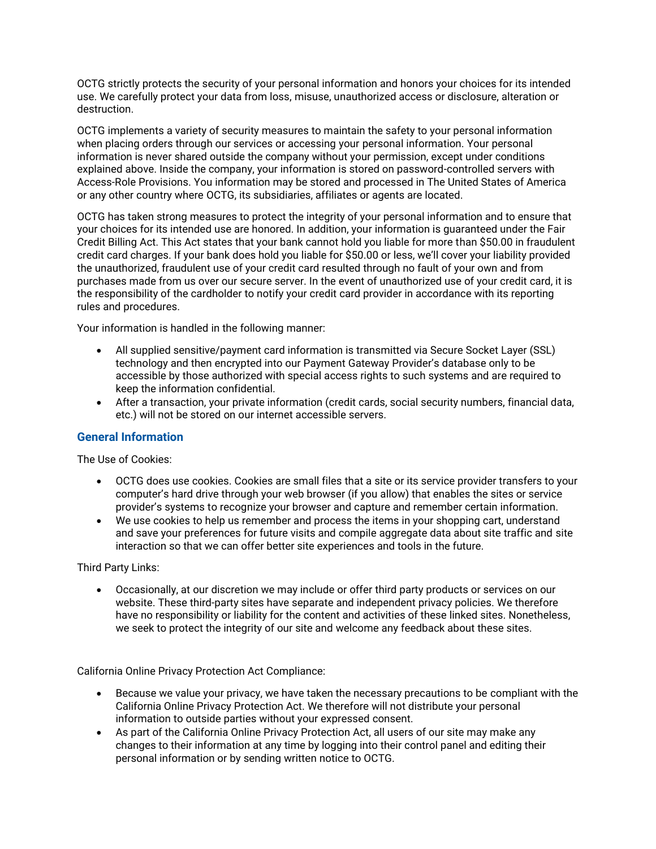OCTG strictly protects the security of your personal information and honors your choices for its intended use. We carefully protect your data from loss, misuse, unauthorized access or disclosure, alteration or destruction.

OCTG implements a variety of security measures to maintain the safety to your personal information when placing orders through our services or accessing your personal information. Your personal information is never shared outside the company without your permission, except under conditions explained above. Inside the company, your information is stored on password-controlled servers with Access-Role Provisions. You information may be stored and processed in The United States of America or any other country where OCTG, its subsidiaries, affiliates or agents are located.

OCTG has taken strong measures to protect the integrity of your personal information and to ensure that your choices for its intended use are honored. In addition, your information is guaranteed under the Fair Credit Billing Act. This Act states that your bank cannot hold you liable for more than \$50.00 in fraudulent credit card charges. If your bank does hold you liable for \$50.00 or less, we'll cover your liability provided the unauthorized, fraudulent use of your credit card resulted through no fault of your own and from purchases made from us over our secure server. In the event of unauthorized use of your credit card, it is the responsibility of the cardholder to notify your credit card provider in accordance with its reporting rules and procedures.

Your information is handled in the following manner:

- All supplied sensitive/payment card information is transmitted via Secure Socket Layer (SSL) technology and then encrypted into our Payment Gateway Provider's database only to be accessible by those authorized with special access rights to such systems and are required to keep the information confidential.
- After a transaction, your private information (credit cards, social security numbers, financial data, etc.) will not be stored on our internet accessible servers.

## **General Information**

The Use of Cookies:

- OCTG does use cookies. Cookies are small files that a site or its service provider transfers to your computer's hard drive through your web browser (if you allow) that enables the sites or service provider's systems to recognize your browser and capture and remember certain information.
- We use cookies to help us remember and process the items in your shopping cart, understand and save your preferences for future visits and compile aggregate data about site traffic and site interaction so that we can offer better site experiences and tools in the future.

Third Party Links:

• Occasionally, at our discretion we may include or offer third party products or services on our website. These third-party sites have separate and independent privacy policies. We therefore have no responsibility or liability for the content and activities of these linked sites. Nonetheless, we seek to protect the integrity of our site and welcome any feedback about these sites.

California Online Privacy Protection Act Compliance:

- Because we value your privacy, we have taken the necessary precautions to be compliant with the California Online Privacy Protection Act. We therefore will not distribute your personal information to outside parties without your expressed consent.
- As part of the California Online Privacy Protection Act, all users of our site may make any changes to their information at any time by logging into their control panel and editing their personal information or by sending written notice to OCTG.